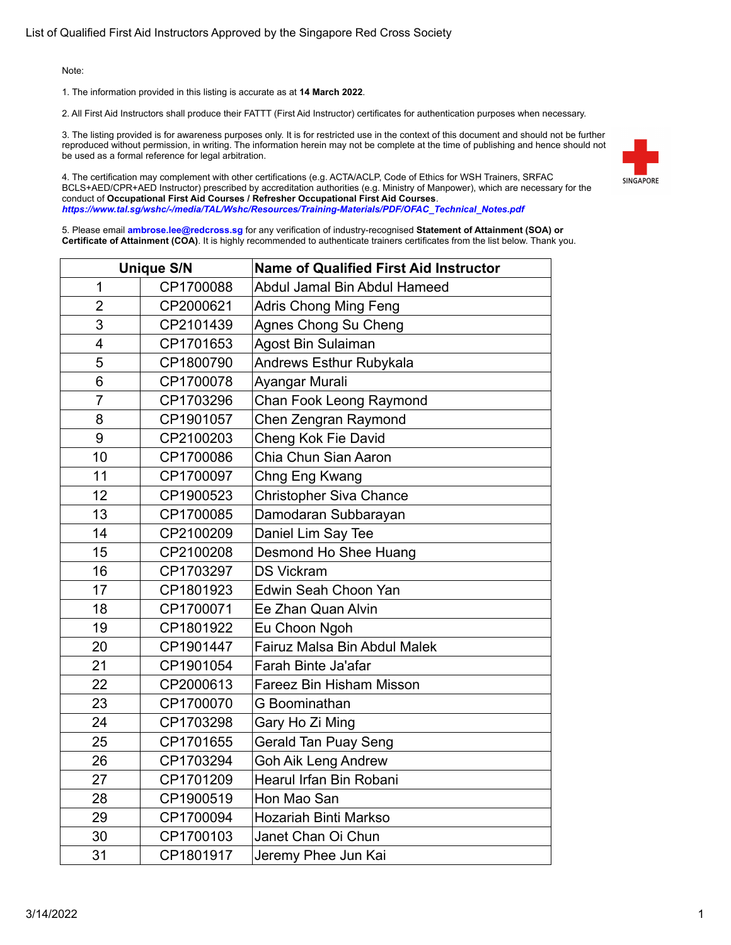1. The information provided in this listing is accurate as at **14 March 2022**.

2. All First Aid Instructors shall produce their FATTT (First Aid Instructor) certificates for authentication purposes when necessary.

3. The listing provided is for awareness purposes only. It is for restricted use in the context of this document and should not be further reproduced without permission, in writing. The information herein may not be complete at the time of publishing and hence should not be used as a formal reference for legal arbitration.



4. The certification may complement with other certifications (e.g. ACTA/ACLP, Code of Ethics for WSH Trainers, SRFAC BCLS+AED/CPR+AED Instructor) prescribed by accreditation authorities (e.g. Ministry of Manpower), which are necessary for the conduct of **Occupational First Aid Courses / Refresher Occupational First Aid Courses**. *https://www.tal.sg/wshc/-/media/TAL/Wshc/Resources/Training-Materials/PDF/OFAC\_Technical\_Notes.pdf*

|                | <b>Unique S/N</b> | <b>Name of Qualified First Aid Instructor</b> |
|----------------|-------------------|-----------------------------------------------|
| 1              | CP1700088         | Abdul Jamal Bin Abdul Hameed                  |
| $\overline{2}$ | CP2000621         | <b>Adris Chong Ming Feng</b>                  |
| 3              | CP2101439         | Agnes Chong Su Cheng                          |
| 4              | CP1701653         | Agost Bin Sulaiman                            |
| 5              | CP1800790         | Andrews Esthur Rubykala                       |
| 6              | CP1700078         | Ayangar Murali                                |
| $\overline{7}$ | CP1703296         | Chan Fook Leong Raymond                       |
| 8              | CP1901057         | Chen Zengran Raymond                          |
| 9              | CP2100203         | Cheng Kok Fie David                           |
| 10             | CP1700086         | Chia Chun Sian Aaron                          |
| 11             | CP1700097         | Chng Eng Kwang                                |
| 12             | CP1900523         | <b>Christopher Siva Chance</b>                |
| 13             | CP1700085         | Damodaran Subbarayan                          |
| 14             | CP2100209         | Daniel Lim Say Tee                            |
| 15             | CP2100208         | Desmond Ho Shee Huang                         |
| 16             | CP1703297         | <b>DS Vickram</b>                             |
| 17             | CP1801923         | Edwin Seah Choon Yan                          |
| 18             | CP1700071         | Ee Zhan Quan Alvin                            |
| 19             | CP1801922         | Eu Choon Ngoh                                 |
| 20             | CP1901447         | Fairuz Malsa Bin Abdul Malek                  |
| 21             | CP1901054         | Farah Binte Ja'afar                           |
| 22             | CP2000613         | <b>Fareez Bin Hisham Misson</b>               |
| 23             | CP1700070         | G Boominathan                                 |
| 24             | CP1703298         | Gary Ho Zi Ming                               |
| 25             | CP1701655         | Gerald Tan Puay Seng                          |
| 26             | CP1703294         | <b>Goh Aik Leng Andrew</b>                    |
| 27             | CP1701209         | Hearul Irfan Bin Robani                       |
| 28             | CP1900519         | Hon Mao San                                   |
| 29             | CP1700094         | Hozariah Binti Markso                         |
| 30             | CP1700103         | Janet Chan Oi Chun                            |
| 31             | CP1801917         | Jeremy Phee Jun Kai                           |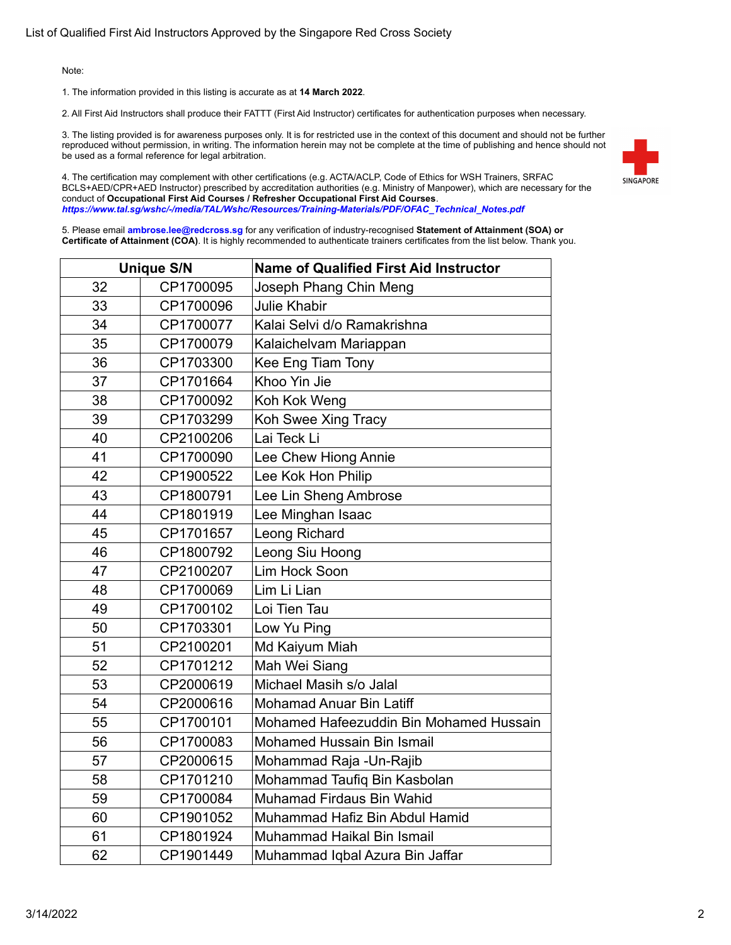1. The information provided in this listing is accurate as at **14 March 2022**.

2. All First Aid Instructors shall produce their FATTT (First Aid Instructor) certificates for authentication purposes when necessary.

3. The listing provided is for awareness purposes only. It is for restricted use in the context of this document and should not be further reproduced without permission, in writing. The information herein may not be complete at the time of publishing and hence should not be used as a formal reference for legal arbitration.



4. The certification may complement with other certifications (e.g. ACTA/ACLP, Code of Ethics for WSH Trainers, SRFAC BCLS+AED/CPR+AED Instructor) prescribed by accreditation authorities (e.g. Ministry of Manpower), which are necessary for the conduct of **Occupational First Aid Courses / Refresher Occupational First Aid Courses**. *https://www.tal.sg/wshc/-/media/TAL/Wshc/Resources/Training-Materials/PDF/OFAC\_Technical\_Notes.pdf*

|    | <b>Unique S/N</b> | <b>Name of Qualified First Aid Instructor</b> |
|----|-------------------|-----------------------------------------------|
| 32 | CP1700095         | Joseph Phang Chin Meng                        |
| 33 | CP1700096         | <b>Julie Khabir</b>                           |
| 34 | CP1700077         | Kalai Selvi d/o Ramakrishna                   |
| 35 | CP1700079         | Kalaichelvam Mariappan                        |
| 36 | CP1703300         | Kee Eng Tiam Tony                             |
| 37 | CP1701664         | Khoo Yin Jie                                  |
| 38 | CP1700092         | Koh Kok Weng                                  |
| 39 | CP1703299         | Koh Swee Xing Tracy                           |
| 40 | CP2100206         | Lai Teck Li                                   |
| 41 | CP1700090         | Lee Chew Hiong Annie                          |
| 42 | CP1900522         | Lee Kok Hon Philip                            |
| 43 | CP1800791         | Lee Lin Sheng Ambrose                         |
| 44 | CP1801919         | Lee Minghan Isaac                             |
| 45 | CP1701657         | Leong Richard                                 |
| 46 | CP1800792         | Leong Siu Hoong                               |
| 47 | CP2100207         | Lim Hock Soon                                 |
| 48 | CP1700069         | Lim Li Lian                                   |
| 49 | CP1700102         | Loi Tien Tau                                  |
| 50 | CP1703301         | Low Yu Ping                                   |
| 51 | CP2100201         | Md Kaiyum Miah                                |
| 52 | CP1701212         | Mah Wei Siang                                 |
| 53 | CP2000619         | Michael Masih s/o Jalal                       |
| 54 | CP2000616         | <b>Mohamad Anuar Bin Latiff</b>               |
| 55 | CP1700101         | Mohamed Hafeezuddin Bin Mohamed Hussain       |
| 56 | CP1700083         | <b>Mohamed Hussain Bin Ismail</b>             |
| 57 | CP2000615         | Mohammad Raja - Un-Rajib                      |
| 58 | CP1701210         | Mohammad Taufiq Bin Kasbolan                  |
| 59 | CP1700084         | Muhamad Firdaus Bin Wahid                     |
| 60 | CP1901052         | Muhammad Hafiz Bin Abdul Hamid                |
| 61 | CP1801924         | Muhammad Haikal Bin Ismail                    |
| 62 | CP1901449         | Muhammad Iqbal Azura Bin Jaffar               |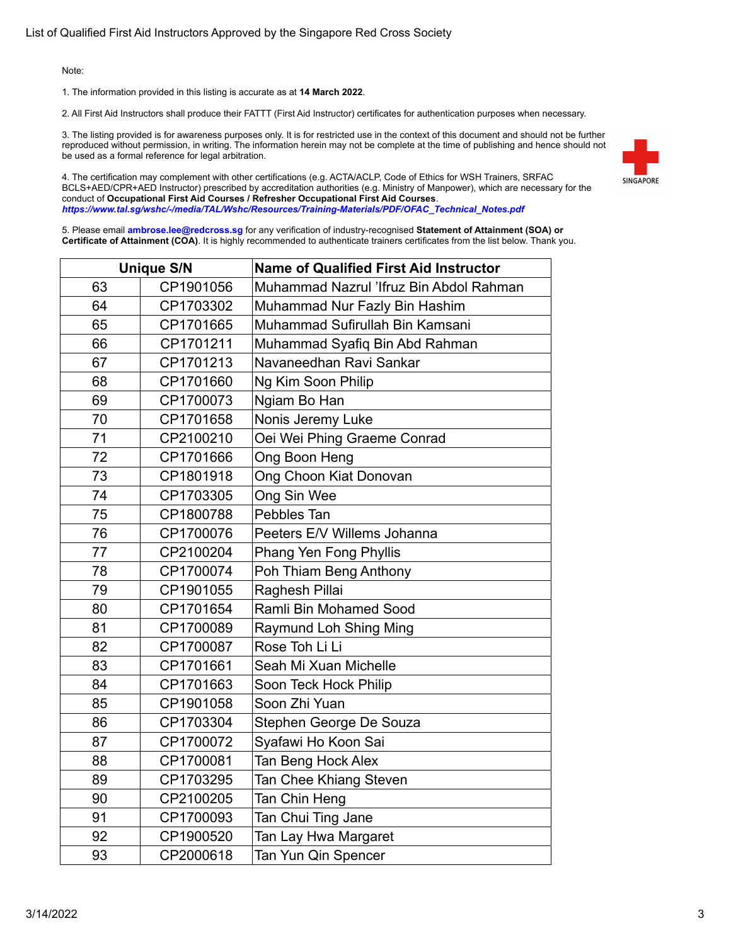1. The information provided in this listing is accurate as at **14 March 2022**.

2. All First Aid Instructors shall produce their FATTT (First Aid Instructor) certificates for authentication purposes when necessary.

3. The listing provided is for awareness purposes only. It is for restricted use in the context of this document and should not be further reproduced without permission, in writing. The information herein may not be complete at the time of publishing and hence should not be used as a formal reference for legal arbitration.



4. The certification may complement with other certifications (e.g. ACTA/ACLP, Code of Ethics for WSH Trainers, SRFAC BCLS+AED/CPR+AED Instructor) prescribed by accreditation authorities (e.g. Ministry of Manpower), which are necessary for the conduct of **Occupational First Aid Courses / Refresher Occupational First Aid Courses**. *https://www.tal.sg/wshc/-/media/TAL/Wshc/Resources/Training-Materials/PDF/OFAC\_Technical\_Notes.pdf*

| <b>Unique S/N</b> |           | <b>Name of Qualified First Aid Instructor</b> |
|-------------------|-----------|-----------------------------------------------|
| 63                | CP1901056 | Muhammad Nazrul 'Ifruz Bin Abdol Rahman       |
| 64                | CP1703302 | Muhammad Nur Fazly Bin Hashim                 |
| 65                | CP1701665 | Muhammad Sufirullah Bin Kamsani               |
| 66                | CP1701211 | Muhammad Syafiq Bin Abd Rahman                |
| 67                | CP1701213 | Navaneedhan Ravi Sankar                       |
| 68                | CP1701660 | Ng Kim Soon Philip                            |
| 69                | CP1700073 | Ngiam Bo Han                                  |
| 70                | CP1701658 | Nonis Jeremy Luke                             |
| 71                | CP2100210 | Oei Wei Phing Graeme Conrad                   |
| 72                | CP1701666 | Ong Boon Heng                                 |
| 73                | CP1801918 | Ong Choon Kiat Donovan                        |
| 74                | CP1703305 | Ong Sin Wee                                   |
| 75                | CP1800788 | Pebbles Tan                                   |
| 76                | CP1700076 | Peeters E/V Willems Johanna                   |
| 77                | CP2100204 | Phang Yen Fong Phyllis                        |
| 78                | CP1700074 | Poh Thiam Beng Anthony                        |
| 79                | CP1901055 | Raghesh Pillai                                |
| 80                | CP1701654 | Ramli Bin Mohamed Sood                        |
| 81                | CP1700089 | Raymund Loh Shing Ming                        |
| 82                | CP1700087 | Rose Toh Li Li                                |
| 83                | CP1701661 | Seah Mi Xuan Michelle                         |
| 84                | CP1701663 | Soon Teck Hock Philip                         |
| 85                | CP1901058 | Soon Zhi Yuan                                 |
| 86                | CP1703304 | Stephen George De Souza                       |
| 87                | CP1700072 | Syafawi Ho Koon Sai                           |
| 88                | CP1700081 | Tan Beng Hock Alex                            |
| 89                | CP1703295 | Tan Chee Khiang Steven                        |
| 90                | CP2100205 | Tan Chin Heng                                 |
| 91                | CP1700093 | Tan Chui Ting Jane                            |
| 92                | CP1900520 | Tan Lay Hwa Margaret                          |
| 93                | CP2000618 | Tan Yun Qin Spencer                           |